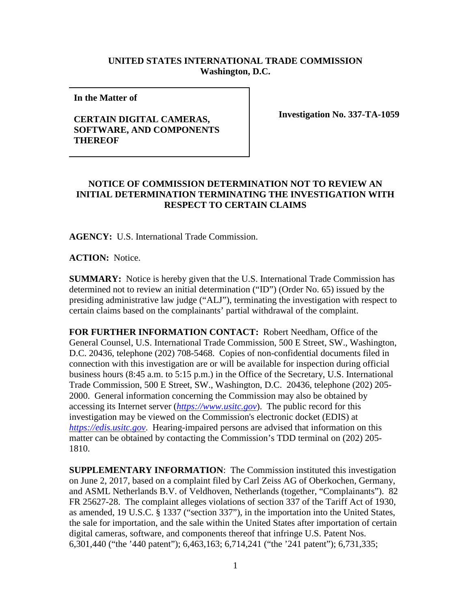## **UNITED STATES INTERNATIONAL TRADE COMMISSION Washington, D.C.**

**In the Matter of** 

## **CERTAIN DIGITAL CAMERAS, SOFTWARE, AND COMPONENTS THEREOF**

**Investigation No. 337-TA-1059**

## **NOTICE OF COMMISSION DETERMINATION NOT TO REVIEW AN INITIAL DETERMINATION TERMINATING THE INVESTIGATION WITH RESPECT TO CERTAIN CLAIMS**

**AGENCY:** U.S. International Trade Commission.

**ACTION:** Notice.

**SUMMARY:** Notice is hereby given that the U.S. International Trade Commission has determined not to review an initial determination ("ID") (Order No. 65) issued by the presiding administrative law judge ("ALJ"), terminating the investigation with respect to certain claims based on the complainants' partial withdrawal of the complaint.

**FOR FURTHER INFORMATION CONTACT:** Robert Needham, Office of the General Counsel, U.S. International Trade Commission, 500 E Street, SW., Washington, D.C. 20436, telephone (202) 708-5468. Copies of non-confidential documents filed in connection with this investigation are or will be available for inspection during official business hours (8:45 a.m. to 5:15 p.m.) in the Office of the Secretary, U.S. International Trade Commission, 500 E Street, SW., Washington, D.C. 20436, telephone (202) 205- 2000. General information concerning the Commission may also be obtained by accessing its Internet server (*[https://www.usitc.gov](https://www.usitc.gov/)*). The public record for this investigation may be viewed on the Commission's electronic docket (EDIS) at *[https://edis.usitc.gov](https://edis.usitc.gov/)*. Hearing-impaired persons are advised that information on this matter can be obtained by contacting the Commission's TDD terminal on (202) 205- 1810.

**SUPPLEMENTARY INFORMATION**: The Commission instituted this investigation on June 2, 2017, based on a complaint filed by Carl Zeiss AG of Oberkochen, Germany, and ASML Netherlands B.V. of Veldhoven, Netherlands (together, "Complainants"). 82 FR 25627-28. The complaint alleges violations of section 337 of the Tariff Act of 1930, as amended, 19 U.S.C. § 1337 ("section 337"), in the importation into the United States, the sale for importation, and the sale within the United States after importation of certain digital cameras, software, and components thereof that infringe U.S. Patent Nos. 6,301,440 ("the '440 patent"); 6,463,163; 6,714,241 ("the '241 patent"); 6,731,335;